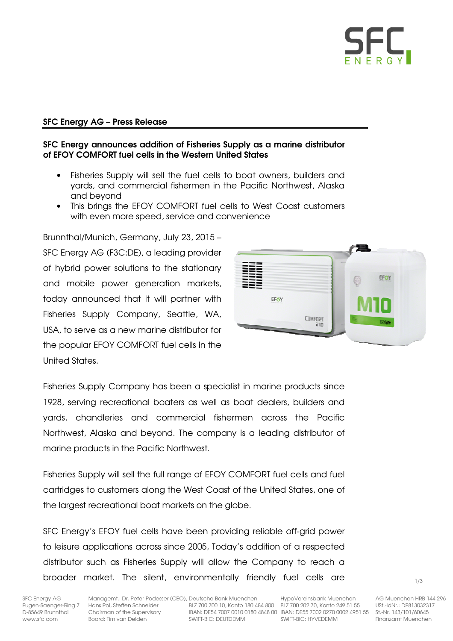

# SFC Energy AG – Press Release

## SFC Energy announces addition of Fisheries Supply as a marine distributor of EFOY COMFORT fuel cells in the Western United States

- Fisheries Supply will sell the fuel cells to boat owners, builders and yards, and commercial fishermen in the Pacific Northwest, Alaska and beyond
- This brings the EFOY COMFORT fuel cells to West Coast customers with even more speed, service and convenience

Brunnthal/Munich, Germany, July 23, 2015 – SFC Energy AG (F3C:DE), a leading provider of hybrid power solutions to the stationary and mobile power generation markets, today announced that it will partner with Fisheries Supply Company, Seattle, WA, USA, to serve as a new marine distributor for the popular EFOY COMFORT fuel cells in the United States.



Fisheries Supply Company has been a specialist in marine products since 1928, serving recreational boaters as well as boat dealers, builders and yards, chandleries and commercial fishermen across the Pacific Northwest, Alaska and beyond. The company is a leading distributor of marine products in the Pacific Northwest.

Fisheries Supply will sell the full range of EFOY COMFORT fuel cells and fuel cartridges to customers along the West Coast of the United States, one of the largest recreational boat markets on the globe.

SFC Energy's EFOY fuel cells have been providing reliable off-grid power to leisure applications across since 2005, Today's addition of a respected distributor such as Fisheries Supply will allow the Company to reach a broader market. The silent, environmentally friendly fuel cells are

Board: Tim van Delden

SFC Energy AG Managemt.: Dr. Peter Podesser (CEO), Deutsche Bank Muenchen HypoVereinsbank Muenchen AG Muenchen HRB 144 296<br>Eugen-Saenger-Ring 7 Hans Pol, Steffen Schneider BLZ 700 700 10, Konto 180 484 800 BLZ 700 202 70, Eugen-Saenger-Ring 7 Hans Pol, Steffen Schneider BLZ 700 700 10, Konto 180 484 800 BLZ 700 202 70, Konto 249 51 55<br>D-85649 Brunnthal Chairman of the Supervisory BAN: DE54 7007 0010 0180 4848 00 IBAN: DE55 7002 0270 0002 49 D-85649 Brunnthal Chairman of the Supervisory BAN: DE54 7007 0010 0180 4848 00 IBAN: DE55 7002 0270 0002 4951 55 St.-Nr. 143/101/60645<br>With The Supervisory SWIFT-BIC: DEUTDEMM SWIFT-BIC: HYVEDEMM Finanzamt Muenchen

1/3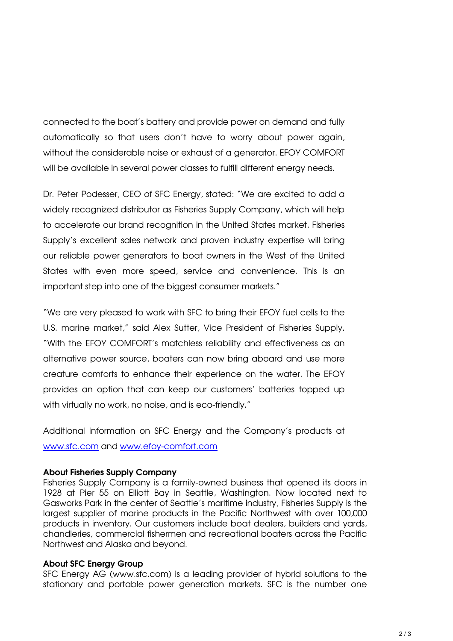connected to the boat's battery and provide power on demand and fully automatically so that users don't have to worry about power again, without the considerable noise or exhaust of a generator. EFOY COMFORT will be available in several power classes to fulfill different energy needs.

Dr. Peter Podesser, CEO of SFC Energy, stated: "We are excited to add a widely recognized distributor as Fisheries Supply Company, which will help to accelerate our brand recognition in the United States market. Fisheries Supply's excellent sales network and proven industry expertise will bring our reliable power generators to boat owners in the West of the United States with even more speed, service and convenience. This is an important step into one of the biggest consumer markets."

"We are very pleased to work with SFC to bring their EFOY fuel cells to the U.S. marine market," said Alex Sutter, Vice President of Fisheries Supply. "With the EFOY COMFORT's matchless reliability and effectiveness as an alternative power source, boaters can now bring aboard and use more creature comforts to enhance their experience on the water. The EFOY provides an option that can keep our customers' batteries topped up with virtually no work, no noise, and is eco-friendly."

Additional information on SFC Energy and the Company's products at www.sfc.com and www.efoy-comfort.com

## About Fisheries Supply Company

Fisheries Supply Company is a family-owned business that opened its doors in 1928 at Pier 55 on Elliott Bay in Seattle, Washington. Now located next to Gasworks Park in the center of Seattle's maritime industry, Fisheries Supply is the largest supplier of marine products in the Pacific Northwest with over 100,000 products in inventory. Our customers include boat dealers, builders and yards, chandleries, commercial fishermen and recreational boaters across the Pacific Northwest and Alaska and beyond.

#### About SFC Energy Group

SFC Energy AG (www.sfc.com) is a leading provider of hybrid solutions to the stationary and portable power generation markets. SFC is the number one